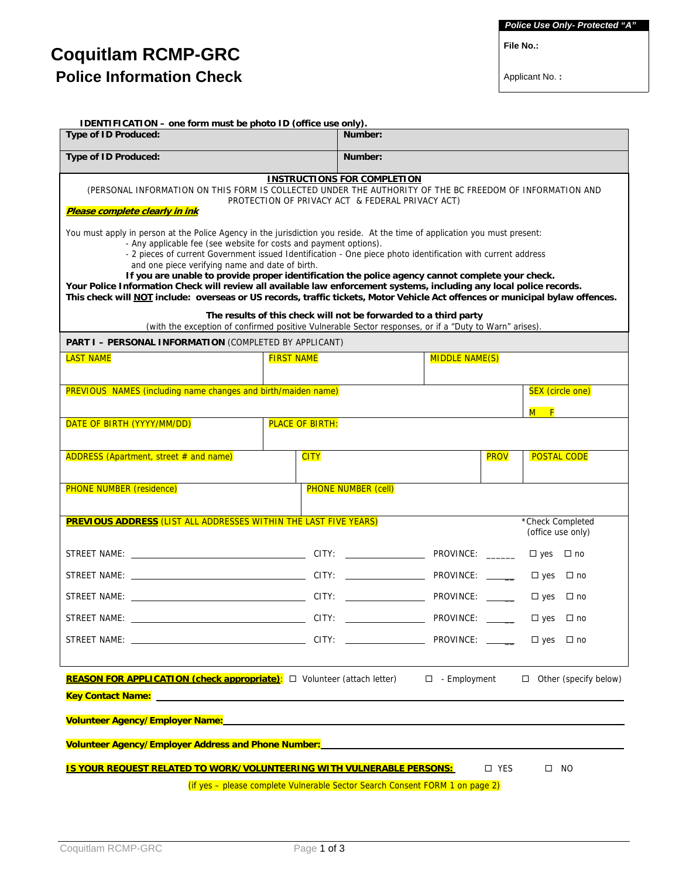**File No.:** 

# **Coquitlam RCMP-GRC Police Information Check**

Applicant No. **:** 

| <b>IDENTIFICATION - one form must be photo ID (office use only).</b><br><b>Type of ID Produced:</b>                                                                                                                                                                                                                                                                                                                                                                                                                                                                                                                                                                                                                                                                                                                                                                                                                                                                                                                                         |                                            | Number:                    |                  |             |                                       |  |
|---------------------------------------------------------------------------------------------------------------------------------------------------------------------------------------------------------------------------------------------------------------------------------------------------------------------------------------------------------------------------------------------------------------------------------------------------------------------------------------------------------------------------------------------------------------------------------------------------------------------------------------------------------------------------------------------------------------------------------------------------------------------------------------------------------------------------------------------------------------------------------------------------------------------------------------------------------------------------------------------------------------------------------------------|--------------------------------------------|----------------------------|------------------|-------------|---------------------------------------|--|
| Type of ID Produced:                                                                                                                                                                                                                                                                                                                                                                                                                                                                                                                                                                                                                                                                                                                                                                                                                                                                                                                                                                                                                        | Number:                                    |                            |                  |             |                                       |  |
| <b>INSTRUCTIONS FOR COMPLETION</b><br>(PERSONAL INFORMATION ON THIS FORM IS COLLECTED UNDER THE AUTHORITY OF THE BC FREEDOM OF INFORMATION AND<br>PROTECTION OF PRIVACY ACT & FEDERAL PRIVACY ACT)<br>Please complete clearly in ink<br>You must apply in person at the Police Agency in the jurisdiction you reside. At the time of application you must present:<br>- Any applicable fee (see website for costs and payment options).<br>- 2 pieces of current Government issued Identification - One piece photo identification with current address<br>and one piece verifying name and date of birth.<br>If you are unable to provide proper identification the police agency cannot complete your check.<br>Your Police Information Check will review all available law enforcement systems, including any local police records.<br>This check will NOT include: overseas or US records, traffic tickets, Motor Vehicle Act offences or municipal bylaw offences.<br>The results of this check will not be forwarded to a third party |                                            |                            |                  |             |                                       |  |
| (with the exception of confirmed positive Vulnerable Sector responses, or if a "Duty to Warn" arises).<br>PART I - PERSONAL INFORMATION (COMPLETED BY APPLICANT)                                                                                                                                                                                                                                                                                                                                                                                                                                                                                                                                                                                                                                                                                                                                                                                                                                                                            |                                            |                            |                  |             |                                       |  |
| <b>LAST NAME</b>                                                                                                                                                                                                                                                                                                                                                                                                                                                                                                                                                                                                                                                                                                                                                                                                                                                                                                                                                                                                                            | <b>FIRST NAME</b><br><b>MIDDLE NAME(S)</b> |                            |                  |             |                                       |  |
| PREVIOUS NAMES (including name changes and birth/maiden name)                                                                                                                                                                                                                                                                                                                                                                                                                                                                                                                                                                                                                                                                                                                                                                                                                                                                                                                                                                               |                                            |                            |                  |             | <b>SEX (circle one)</b>               |  |
| DATE OF BIRTH (YYYY/MM/DD)                                                                                                                                                                                                                                                                                                                                                                                                                                                                                                                                                                                                                                                                                                                                                                                                                                                                                                                                                                                                                  | <b>PLACE OF BIRTH:</b>                     |                            |                  |             | $M$ F                                 |  |
|                                                                                                                                                                                                                                                                                                                                                                                                                                                                                                                                                                                                                                                                                                                                                                                                                                                                                                                                                                                                                                             |                                            |                            |                  |             |                                       |  |
| ADDRESS (Apartment, street # and name)                                                                                                                                                                                                                                                                                                                                                                                                                                                                                                                                                                                                                                                                                                                                                                                                                                                                                                                                                                                                      | <b>CITY</b>                                |                            |                  | <b>PROV</b> | <b>POSTAL CODE</b>                    |  |
| <b>PHONE NUMBER (residence)</b>                                                                                                                                                                                                                                                                                                                                                                                                                                                                                                                                                                                                                                                                                                                                                                                                                                                                                                                                                                                                             |                                            | <b>PHONE NUMBER (cell)</b> |                  |             |                                       |  |
| PREVIOUS ADDRESS (LIST ALL ADDRESSES WITHIN THE LAST FIVE YEARS)                                                                                                                                                                                                                                                                                                                                                                                                                                                                                                                                                                                                                                                                                                                                                                                                                                                                                                                                                                            |                                            |                            |                  |             | *Check Completed<br>(office use only) |  |
|                                                                                                                                                                                                                                                                                                                                                                                                                                                                                                                                                                                                                                                                                                                                                                                                                                                                                                                                                                                                                                             |                                            |                            | PROVINCE: ______ |             | $\Box$ yes $\Box$ no                  |  |
|                                                                                                                                                                                                                                                                                                                                                                                                                                                                                                                                                                                                                                                                                                                                                                                                                                                                                                                                                                                                                                             |                                            |                            | PROVINCE: ____   |             | $\Box$ yes $\Box$ no                  |  |
|                                                                                                                                                                                                                                                                                                                                                                                                                                                                                                                                                                                                                                                                                                                                                                                                                                                                                                                                                                                                                                             |                                            |                            |                  |             | $\Box$ yes $\Box$ no                  |  |
|                                                                                                                                                                                                                                                                                                                                                                                                                                                                                                                                                                                                                                                                                                                                                                                                                                                                                                                                                                                                                                             |                                            |                            |                  |             | $\Box$ yes $\Box$ no                  |  |
|                                                                                                                                                                                                                                                                                                                                                                                                                                                                                                                                                                                                                                                                                                                                                                                                                                                                                                                                                                                                                                             |                                            |                            | PROVINCE: ______ |             | $\Box$ yes $\Box$ no                  |  |
| REASON FOR APPLICATION (check appropriate): □ Volunteer (attach letter)                                                                                                                                                                                                                                                                                                                                                                                                                                                                                                                                                                                                                                                                                                                                                                                                                                                                                                                                                                     |                                            |                            | □ - Employment   |             | $\Box$ Other (specify below)          |  |
|                                                                                                                                                                                                                                                                                                                                                                                                                                                                                                                                                                                                                                                                                                                                                                                                                                                                                                                                                                                                                                             |                                            |                            |                  |             |                                       |  |
|                                                                                                                                                                                                                                                                                                                                                                                                                                                                                                                                                                                                                                                                                                                                                                                                                                                                                                                                                                                                                                             |                                            |                            |                  |             |                                       |  |
| Volunteer Agency/Employer Address and Phone Number: New York Change and Change and Change and Change and Change                                                                                                                                                                                                                                                                                                                                                                                                                                                                                                                                                                                                                                                                                                                                                                                                                                                                                                                             |                                            |                            |                  |             |                                       |  |
| IS YOUR REQUEST RELATED TO WORK/VOLUNTEERING WITH VULNERABLE PERSONS:<br>□ YES<br>$\square$ NO                                                                                                                                                                                                                                                                                                                                                                                                                                                                                                                                                                                                                                                                                                                                                                                                                                                                                                                                              |                                            |                            |                  |             |                                       |  |
| (if yes - please complete Vulnerable Sector Search Consent FORM 1 on page 2)                                                                                                                                                                                                                                                                                                                                                                                                                                                                                                                                                                                                                                                                                                                                                                                                                                                                                                                                                                |                                            |                            |                  |             |                                       |  |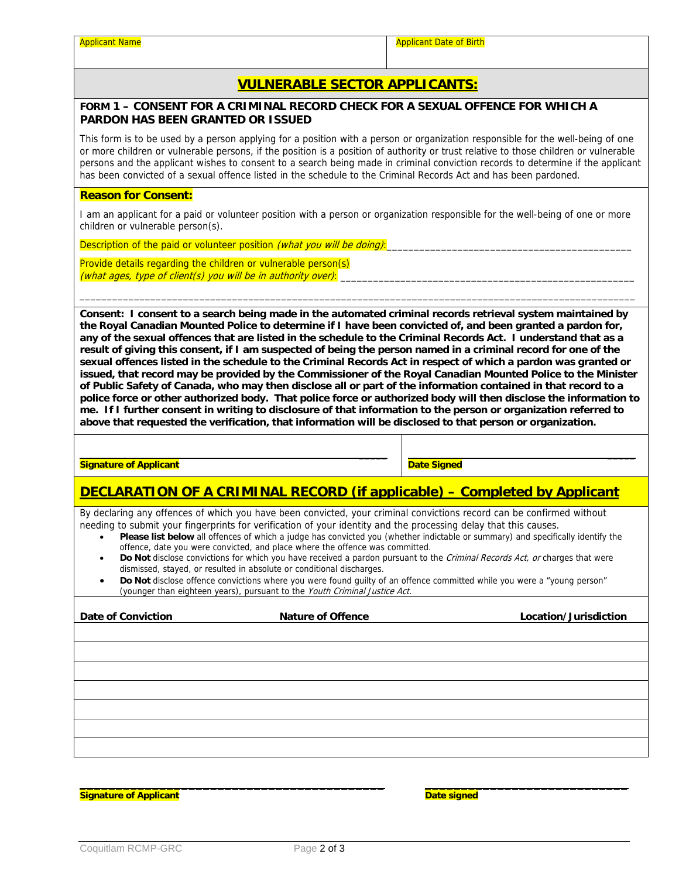## **VULNERABLE SECTOR APPLICANTS:**

#### **FORM 1 – CONSENT FOR A CRIMINAL RECORD CHECK FOR A SEXUAL OFFENCE FOR WHICH A PARDON HAS BEEN GRANTED OR ISSUED**

This form is to be used by a person applying for a position with a person or organization responsible for the well-being of one or more children or vulnerable persons, if the position is a position of authority or trust relative to those children or vulnerable persons and the applicant wishes to consent to a search being made in criminal conviction records to determine if the applicant has been convicted of a sexual offence listed in the schedule to the Criminal Records Act and has been pardoned.

#### **Reason for Consent:**

I am an applicant for a paid or volunteer position with a person or organization responsible for the well-being of one or more children or vulnerable person(s).

Description of the paid or volunteer position (what you will be doing):

 **\_\_\_\_\_** 

 $\mathcal{L}=\{1,2,3,4,5\}$  , we can assume that the contribution of  $\mathcal{L}=\{1,2,3,4,5\}$ 

Provide details regarding the children or vulnerable person(s) (what ages, type of client(s) you will be in authority over):

**Consent: I consent to a search being made in the automated criminal records retrieval system maintained by the Royal Canadian Mounted Police to determine if I have been convicted of, and been granted a pardon for, any of the sexual offences that are listed in the schedule to the Criminal Records Act. I understand that as a result of giving this consent, if I am suspected of being the person named in a criminal record for one of the sexual offences listed in the schedule to the Criminal Records Act in respect of which a pardon was granted or issued, that record may be provided by the Commissioner of the Royal Canadian Mounted Police to the Minister of Public Safety of Canada, who may then disclose all or part of the information contained in that record to a police force or other authorized body. That police force or authorized body will then disclose the information to me. If I further consent in writing to disclosure of that information to the person or organization referred to above that requested the verification, that information will be disclosed to that person or organization.** 

\_\_\_\_\_\_\_\_\_\_\_\_\_\_\_\_\_\_\_\_\_\_\_\_\_\_\_\_\_\_\_\_\_\_\_\_\_\_\_\_\_\_\_\_\_\_\_\_\_\_\_\_\_\_\_\_\_\_\_\_\_\_\_\_\_\_\_\_\_\_\_\_\_\_\_\_\_\_\_\_\_\_\_\_\_\_\_\_\_\_\_\_\_\_\_\_\_\_\_\_\_\_

**Signature of Applicant** 

**Date Signed** 

 **\_\_\_\_\_** 

## **DECLARATION OF A CRIMINAL RECORD (if applicable) – Completed by Applicant**

By declaring any offences of which you have been convicted, your criminal convictions record can be confirmed without needing to submit your fingerprints for verification of your identity and the processing delay that this causes.

- **Please list below** all offences of which a judge has convicted you (whether indictable or summary) and specifically identify the offence, date you were convicted, and place where the offence was committed.
- Do Not disclose convictions for which you have received a pardon pursuant to the Criminal Records Act, or charges that were dismissed, stayed, or resulted in absolute or conditional discharges.
- **Do Not** disclose offence convictions where you were found guilty of an offence committed while you were a "young person" (younger than eighteen years), pursuant to the Youth Criminal Justice Act.

| <b>Date of Conviction</b> | <b>Nature of Offence</b> | Location/Jurisdiction |
|---------------------------|--------------------------|-----------------------|
|                           |                          |                       |
|                           |                          |                       |
|                           |                          |                       |
|                           |                          |                       |
|                           |                          |                       |
|                           |                          |                       |
|                           |                          |                       |

**Signature of Applicant**